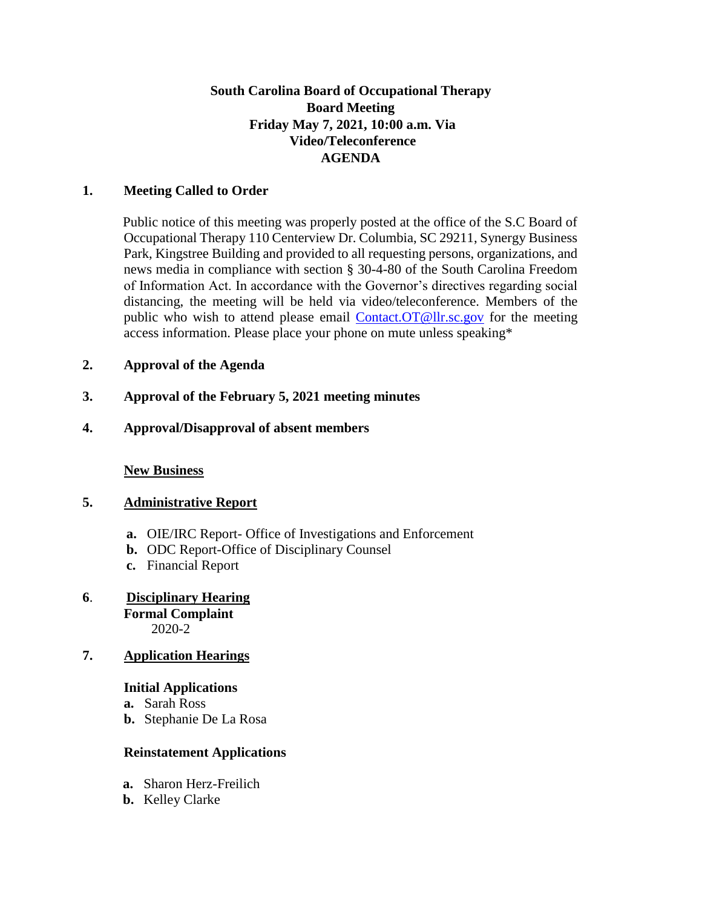# **South Carolina Board of Occupational Therapy Board Meeting Friday May 7, 2021, 10:00 a.m. Via Video/Teleconference AGENDA**

### **1. Meeting Called to Order**

Public notice of this meeting was properly posted at the office of the S.C Board of Occupational Therapy 110 Centerview Dr. Columbia, SC 29211, Synergy Business Park, Kingstree Building and provided to all requesting persons, organizations, and news media in compliance with section § 30-4-80 of the South Carolina Freedom of Information Act. In accordance with the Governor's directives regarding social distancing, the meeting will be held via video/teleconference. Members of the public who wish to attend please email Contact.OT@llr.sc.gov for the meeting access information. Please place your phone on mute unless speaking\*

## **2. Approval of the Agenda**

- **3. Approval of the February 5, 2021 meeting minutes**
- **4. Approval/Disapproval of absent members**

**New Business**

## **5. Administrative Report**

- **a.** OIE/IRC Report- Office of Investigations and Enforcement
- **b.** ODC Report-Office of Disciplinary Counsel
- **c.** Financial Report
- **6**. **Disciplinary Hearing Formal Complaint** 2020-2
- **7. Application Hearings**

#### **Initial Applications**

- **a.** Sarah Ross
- **b.** Stephanie De La Rosa

# **Reinstatement Applications**

- **a.** Sharon Herz-Freilich
- **b.** Kelley Clarke